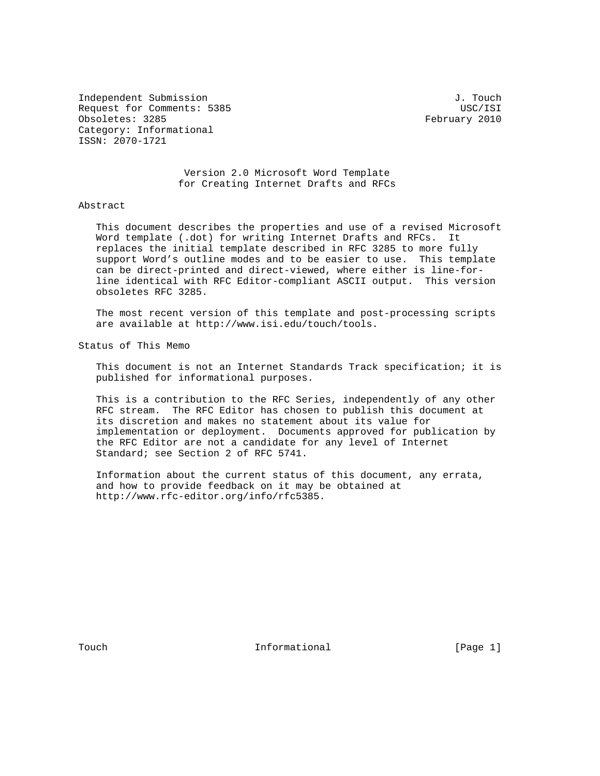Independent Submission J. Touch Request for Comments: 5385 USC/ISI Obsoletes: 3285 February 2010 Category: Informational ISSN: 2070-1721

 Version 2.0 Microsoft Word Template for Creating Internet Drafts and RFCs

# Abstract

 This document describes the properties and use of a revised Microsoft Word template (.dot) for writing Internet Drafts and RFCs. It replaces the initial template described in RFC 3285 to more fully support Word's outline modes and to be easier to use. This template can be direct-printed and direct-viewed, where either is line-for line identical with RFC Editor-compliant ASCII output. This version obsoletes RFC 3285.

 The most recent version of this template and post-processing scripts are available at http://www.isi.edu/touch/tools.

Status of This Memo

 This document is not an Internet Standards Track specification; it is published for informational purposes.

 This is a contribution to the RFC Series, independently of any other RFC stream. The RFC Editor has chosen to publish this document at its discretion and makes no statement about its value for implementation or deployment. Documents approved for publication by the RFC Editor are not a candidate for any level of Internet Standard; see Section 2 of RFC 5741.

 Information about the current status of this document, any errata, and how to provide feedback on it may be obtained at http://www.rfc-editor.org/info/rfc5385.

Touch **Informational Informational** [Page 1]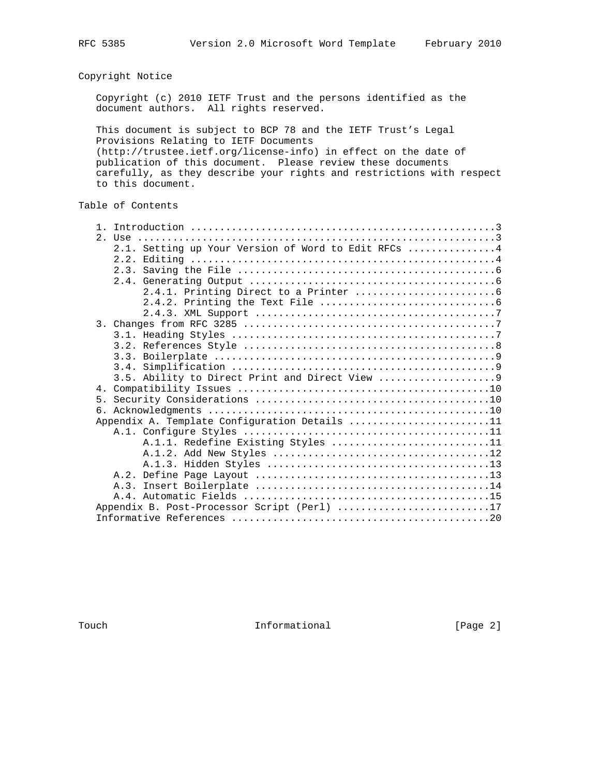Copyright Notice

 Copyright (c) 2010 IETF Trust and the persons identified as the document authors. All rights reserved.

 This document is subject to BCP 78 and the IETF Trust's Legal Provisions Relating to IETF Documents (http://trustee.ietf.org/license-info) in effect on the date of publication of this document. Please review these documents carefully, as they describe your rights and restrictions with respect to this document.

# Table of Contents

|  | 2.1. Setting up Your Version of Word to Edit RFCs  4 |
|--|------------------------------------------------------|
|  |                                                      |
|  |                                                      |
|  |                                                      |
|  |                                                      |
|  |                                                      |
|  |                                                      |
|  |                                                      |
|  |                                                      |
|  |                                                      |
|  |                                                      |
|  |                                                      |
|  |                                                      |
|  |                                                      |
|  |                                                      |
|  |                                                      |
|  | Appendix A. Template Configuration Details 11        |
|  |                                                      |
|  | A.1.1. Redefine Existing Styles 11                   |
|  |                                                      |
|  |                                                      |
|  |                                                      |
|  |                                                      |
|  |                                                      |
|  | Appendix B. Post-Processor Script (Perl) 17          |
|  |                                                      |
|  |                                                      |

Touch **Informational Informational** [Page 2]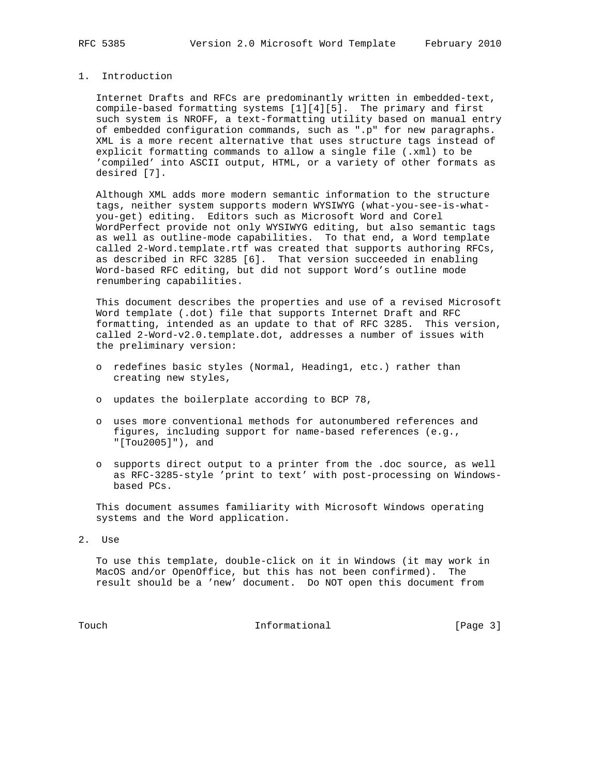# 1. Introduction

 Internet Drafts and RFCs are predominantly written in embedded-text, compile-based formatting systems [1][4][5]. The primary and first such system is NROFF, a text-formatting utility based on manual entry of embedded configuration commands, such as ".p" for new paragraphs. XML is a more recent alternative that uses structure tags instead of explicit formatting commands to allow a single file (.xml) to be 'compiled' into ASCII output, HTML, or a variety of other formats as desired [7].

 Although XML adds more modern semantic information to the structure tags, neither system supports modern WYSIWYG (what-you-see-is-what you-get) editing. Editors such as Microsoft Word and Corel WordPerfect provide not only WYSIWYG editing, but also semantic tags as well as outline-mode capabilities. To that end, a Word template called 2-Word.template.rtf was created that supports authoring RFCs, as described in RFC 3285 [6]. That version succeeded in enabling Word-based RFC editing, but did not support Word's outline mode renumbering capabilities.

 This document describes the properties and use of a revised Microsoft Word template (.dot) file that supports Internet Draft and RFC formatting, intended as an update to that of RFC 3285. This version, called 2-Word-v2.0.template.dot, addresses a number of issues with the preliminary version:

- o redefines basic styles (Normal, Heading1, etc.) rather than creating new styles,
- o updates the boilerplate according to BCP 78,
- o uses more conventional methods for autonumbered references and figures, including support for name-based references (e.g., "[Tou2005]"), and
- o supports direct output to a printer from the .doc source, as well as RFC-3285-style 'print to text' with post-processing on Windows based PCs.

 This document assumes familiarity with Microsoft Windows operating systems and the Word application.

2. Use

 To use this template, double-click on it in Windows (it may work in MacOS and/or OpenOffice, but this has not been confirmed). The result should be a 'new' document. Do NOT open this document from

Touch **Informational Informational** [Page 3]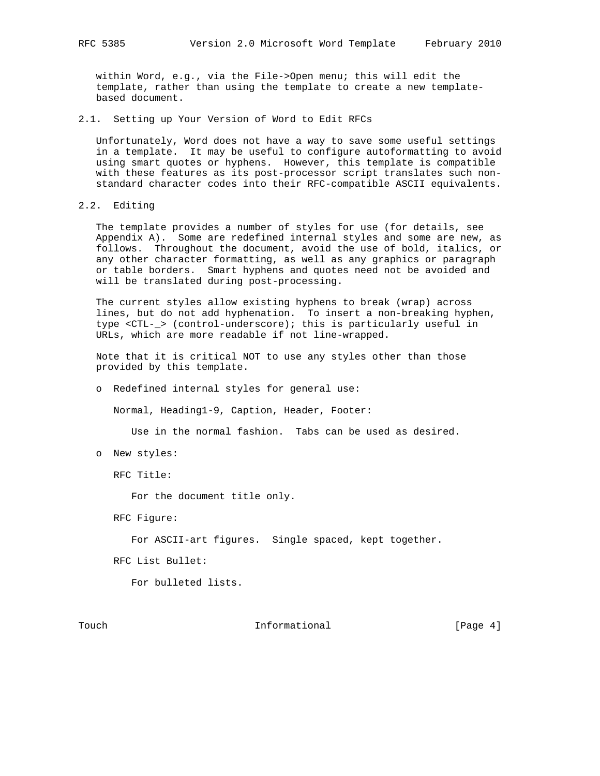within Word, e.g., via the File->Open menu; this will edit the template, rather than using the template to create a new template based document.

2.1. Setting up Your Version of Word to Edit RFCs

 Unfortunately, Word does not have a way to save some useful settings in a template. It may be useful to configure autoformatting to avoid using smart quotes or hyphens. However, this template is compatible with these features as its post-processor script translates such non standard character codes into their RFC-compatible ASCII equivalents.

2.2. Editing

 The template provides a number of styles for use (for details, see Appendix A). Some are redefined internal styles and some are new, as follows. Throughout the document, avoid the use of bold, italics, or any other character formatting, as well as any graphics or paragraph or table borders. Smart hyphens and quotes need not be avoided and will be translated during post-processing.

 The current styles allow existing hyphens to break (wrap) across lines, but do not add hyphenation. To insert a non-breaking hyphen, type <CTL-\_> (control-underscore); this is particularly useful in URLs, which are more readable if not line-wrapped.

 Note that it is critical NOT to use any styles other than those provided by this template.

o Redefined internal styles for general use:

Normal, Heading1-9, Caption, Header, Footer:

Use in the normal fashion. Tabs can be used as desired.

o New styles:

RFC Title:

For the document title only.

RFC Figure:

For ASCII-art figures. Single spaced, kept together.

RFC List Bullet:

For bulleted lists.

Touch **Informational Informational** [Page 4]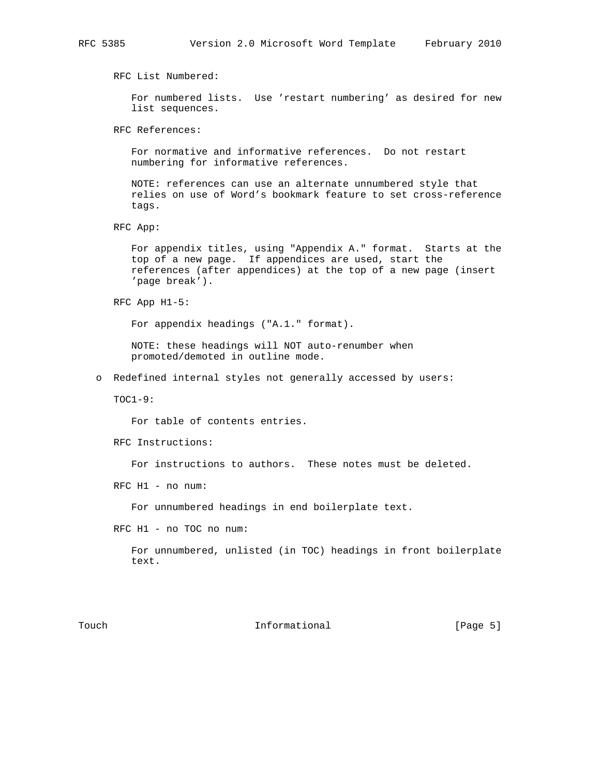RFC List Numbered:

 For numbered lists. Use 'restart numbering' as desired for new list sequences.

RFC References:

 For normative and informative references. Do not restart numbering for informative references.

 NOTE: references can use an alternate unnumbered style that relies on use of Word's bookmark feature to set cross-reference tags.

RFC App:

 For appendix titles, using "Appendix A." format. Starts at the top of a new page. If appendices are used, start the references (after appendices) at the top of a new page (insert 'page break').

RFC App H1-5:

For appendix headings ("A.1." format).

 NOTE: these headings will NOT auto-renumber when promoted/demoted in outline mode.

o Redefined internal styles not generally accessed by users:

TOC1-9:

For table of contents entries.

RFC Instructions:

For instructions to authors. These notes must be deleted.

RFC H1 - no num:

For unnumbered headings in end boilerplate text.

RFC H1 - no TOC no num:

 For unnumbered, unlisted (in TOC) headings in front boilerplate text.

Touch **Informational Informational** [Page 5]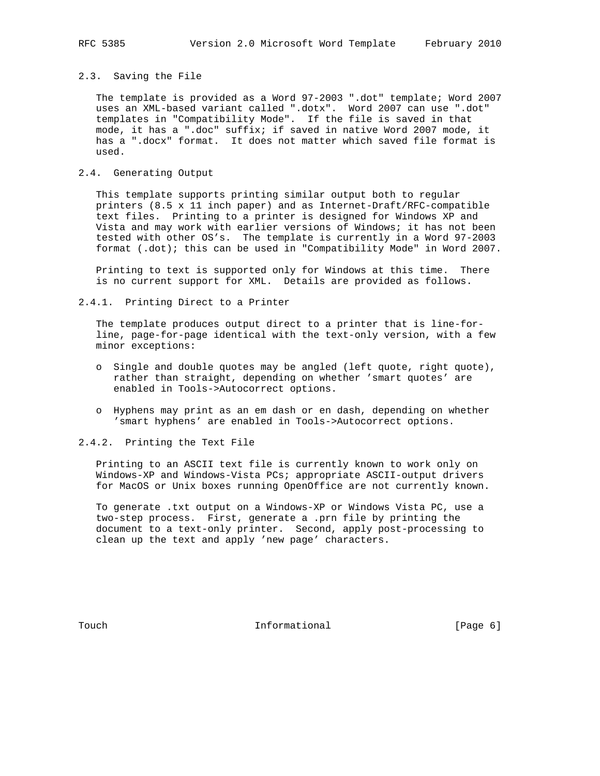# 2.3. Saving the File

 The template is provided as a Word 97-2003 ".dot" template; Word 2007 uses an XML-based variant called ".dotx". Word 2007 can use ".dot" templates in "Compatibility Mode". If the file is saved in that mode, it has a ".doc" suffix; if saved in native Word 2007 mode, it has a ".docx" format. It does not matter which saved file format is used.

# 2.4. Generating Output

 This template supports printing similar output both to regular printers (8.5 x 11 inch paper) and as Internet-Draft/RFC-compatible text files. Printing to a printer is designed for Windows XP and Vista and may work with earlier versions of Windows; it has not been tested with other OS's. The template is currently in a Word 97-2003 format (.dot); this can be used in "Compatibility Mode" in Word 2007.

 Printing to text is supported only for Windows at this time. There is no current support for XML. Details are provided as follows.

2.4.1. Printing Direct to a Printer

 The template produces output direct to a printer that is line-for line, page-for-page identical with the text-only version, with a few minor exceptions:

- o Single and double quotes may be angled (left quote, right quote), rather than straight, depending on whether 'smart quotes' are enabled in Tools->Autocorrect options.
- o Hyphens may print as an em dash or en dash, depending on whether 'smart hyphens' are enabled in Tools->Autocorrect options.

2.4.2. Printing the Text File

 Printing to an ASCII text file is currently known to work only on Windows-XP and Windows-Vista PCs; appropriate ASCII-output drivers for MacOS or Unix boxes running OpenOffice are not currently known.

 To generate .txt output on a Windows-XP or Windows Vista PC, use a two-step process. First, generate a .prn file by printing the document to a text-only printer. Second, apply post-processing to clean up the text and apply 'new page' characters.

Touch **Informational Informational** [Page 6]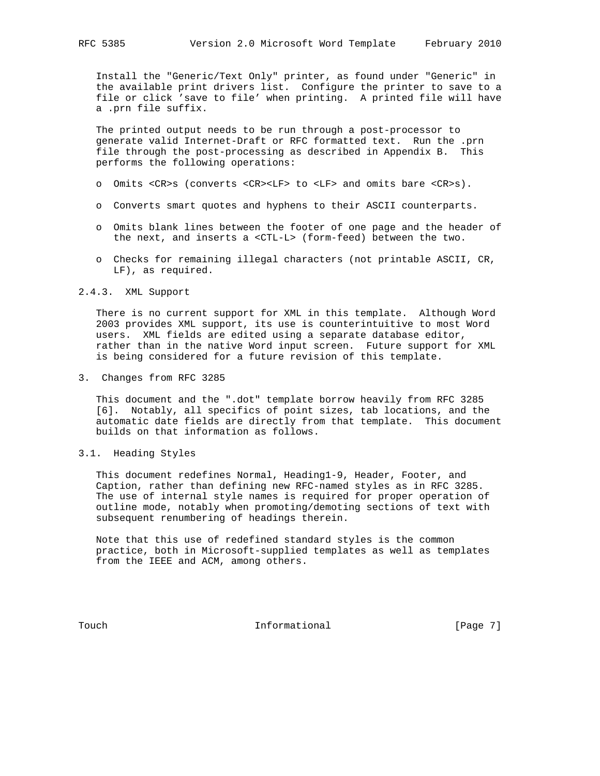Install the "Generic/Text Only" printer, as found under "Generic" in the available print drivers list. Configure the printer to save to a file or click 'save to file' when printing. A printed file will have a .prn file suffix.

 The printed output needs to be run through a post-processor to generate valid Internet-Draft or RFC formatted text. Run the .prn file through the post-processing as described in Appendix B. This performs the following operations:

- o Omits <CR>s (converts <CR><LF> to <LF> and omits bare <CR>s).
- o Converts smart quotes and hyphens to their ASCII counterparts.
- o Omits blank lines between the footer of one page and the header of the next, and inserts a <CTL-L> (form-feed) between the two.
- o Checks for remaining illegal characters (not printable ASCII, CR, LF), as required.

#### 2.4.3. XML Support

 There is no current support for XML in this template. Although Word 2003 provides XML support, its use is counterintuitive to most Word users. XML fields are edited using a separate database editor, rather than in the native Word input screen. Future support for XML is being considered for a future revision of this template.

3. Changes from RFC 3285

 This document and the ".dot" template borrow heavily from RFC 3285 [6]. Notably, all specifics of point sizes, tab locations, and the automatic date fields are directly from that template. This document builds on that information as follows.

3.1. Heading Styles

 This document redefines Normal, Heading1-9, Header, Footer, and Caption, rather than defining new RFC-named styles as in RFC 3285. The use of internal style names is required for proper operation of outline mode, notably when promoting/demoting sections of text with subsequent renumbering of headings therein.

 Note that this use of redefined standard styles is the common practice, both in Microsoft-supplied templates as well as templates from the IEEE and ACM, among others.

Touch **Informational Informational** [Page 7]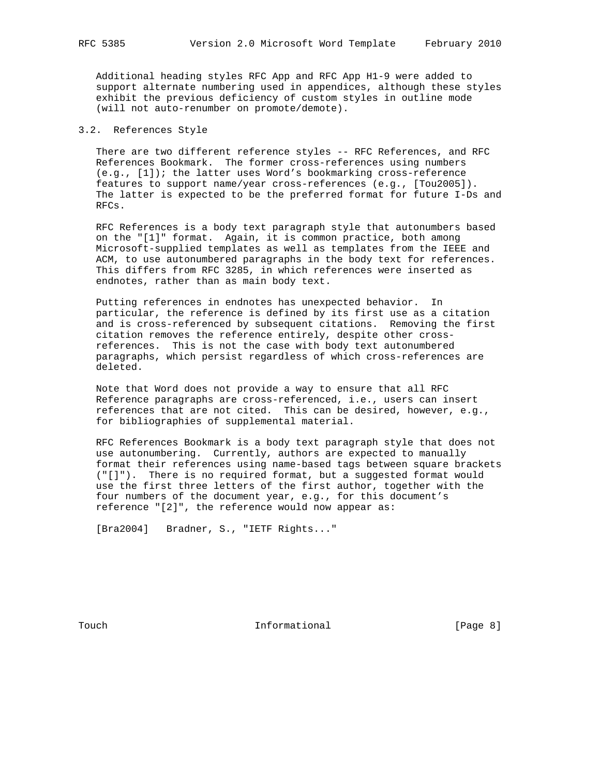Additional heading styles RFC App and RFC App H1-9 were added to support alternate numbering used in appendices, although these styles exhibit the previous deficiency of custom styles in outline mode (will not auto-renumber on promote/demote).

# 3.2. References Style

 There are two different reference styles -- RFC References, and RFC References Bookmark. The former cross-references using numbers (e.g., [1]); the latter uses Word's bookmarking cross-reference features to support name/year cross-references (e.g., [Tou2005]). The latter is expected to be the preferred format for future I-Ds and RFCs.

 RFC References is a body text paragraph style that autonumbers based on the "[1]" format. Again, it is common practice, both among Microsoft-supplied templates as well as templates from the IEEE and ACM, to use autonumbered paragraphs in the body text for references. This differs from RFC 3285, in which references were inserted as endnotes, rather than as main body text.

 Putting references in endnotes has unexpected behavior. In particular, the reference is defined by its first use as a citation and is cross-referenced by subsequent citations. Removing the first citation removes the reference entirely, despite other cross references. This is not the case with body text autonumbered paragraphs, which persist regardless of which cross-references are deleted.

 Note that Word does not provide a way to ensure that all RFC Reference paragraphs are cross-referenced, i.e., users can insert references that are not cited. This can be desired, however, e.g., for bibliographies of supplemental material.

 RFC References Bookmark is a body text paragraph style that does not use autonumbering. Currently, authors are expected to manually format their references using name-based tags between square brackets ("[]"). There is no required format, but a suggested format would use the first three letters of the first author, together with the four numbers of the document year, e.g., for this document's reference "[2]", the reference would now appear as:

[Bra2004] Bradner, S., "IETF Rights..."

Touch **Informational Informational** [Page 8]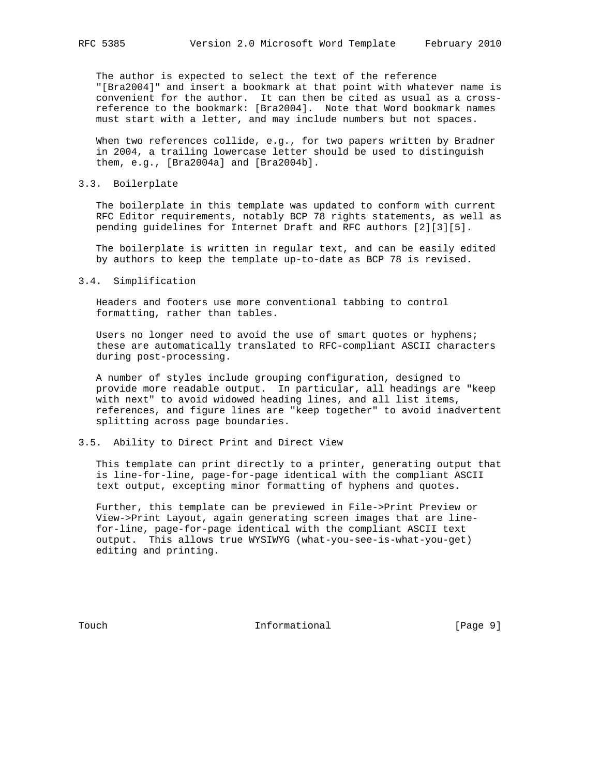The author is expected to select the text of the reference "[Bra2004]" and insert a bookmark at that point with whatever name is convenient for the author. It can then be cited as usual as a cross reference to the bookmark: [Bra2004]. Note that Word bookmark names must start with a letter, and may include numbers but not spaces.

 When two references collide, e.g., for two papers written by Bradner in 2004, a trailing lowercase letter should be used to distinguish them, e.g., [Bra2004a] and [Bra2004b].

### 3.3. Boilerplate

 The boilerplate in this template was updated to conform with current RFC Editor requirements, notably BCP 78 rights statements, as well as pending guidelines for Internet Draft and RFC authors [2][3][5].

 The boilerplate is written in regular text, and can be easily edited by authors to keep the template up-to-date as BCP 78 is revised.

#### 3.4. Simplification

 Headers and footers use more conventional tabbing to control formatting, rather than tables.

 Users no longer need to avoid the use of smart quotes or hyphens; these are automatically translated to RFC-compliant ASCII characters during post-processing.

 A number of styles include grouping configuration, designed to provide more readable output. In particular, all headings are "keep with next" to avoid widowed heading lines, and all list items, references, and figure lines are "keep together" to avoid inadvertent splitting across page boundaries.

# 3.5. Ability to Direct Print and Direct View

 This template can print directly to a printer, generating output that is line-for-line, page-for-page identical with the compliant ASCII text output, excepting minor formatting of hyphens and quotes.

 Further, this template can be previewed in File->Print Preview or View->Print Layout, again generating screen images that are line for-line, page-for-page identical with the compliant ASCII text output. This allows true WYSIWYG (what-you-see-is-what-you-get) editing and printing.

Touch **Informational Informational** [Page 9]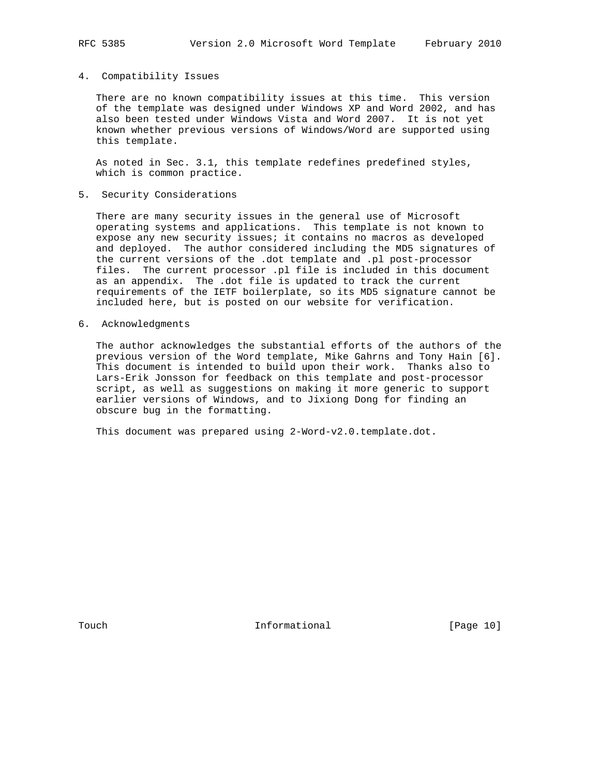#### 4. Compatibility Issues

 There are no known compatibility issues at this time. This version of the template was designed under Windows XP and Word 2002, and has also been tested under Windows Vista and Word 2007. It is not yet known whether previous versions of Windows/Word are supported using this template.

 As noted in Sec. 3.1, this template redefines predefined styles, which is common practice.

5. Security Considerations

 There are many security issues in the general use of Microsoft operating systems and applications. This template is not known to expose any new security issues; it contains no macros as developed and deployed. The author considered including the MD5 signatures of the current versions of the .dot template and .pl post-processor files. The current processor .pl file is included in this document as an appendix. The .dot file is updated to track the current requirements of the IETF boilerplate, so its MD5 signature cannot be included here, but is posted on our website for verification.

6. Acknowledgments

 The author acknowledges the substantial efforts of the authors of the previous version of the Word template, Mike Gahrns and Tony Hain [6]. This document is intended to build upon their work. Thanks also to Lars-Erik Jonsson for feedback on this template and post-processor script, as well as suggestions on making it more generic to support earlier versions of Windows, and to Jixiong Dong for finding an obscure bug in the formatting.

This document was prepared using 2-Word-v2.0.template.dot.

Touch **Informational** [Page 10]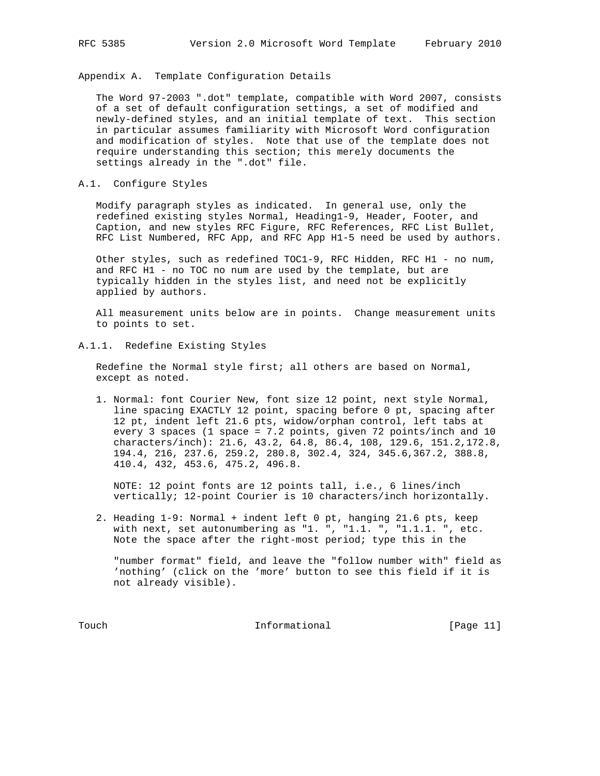Appendix A. Template Configuration Details

 The Word 97-2003 ".dot" template, compatible with Word 2007, consists of a set of default configuration settings, a set of modified and newly-defined styles, and an initial template of text. This section in particular assumes familiarity with Microsoft Word configuration and modification of styles. Note that use of the template does not require understanding this section; this merely documents the settings already in the ".dot" file.

## A.1. Configure Styles

 Modify paragraph styles as indicated. In general use, only the redefined existing styles Normal, Heading1-9, Header, Footer, and Caption, and new styles RFC Figure, RFC References, RFC List Bullet, RFC List Numbered, RFC App, and RFC App H1-5 need be used by authors.

 Other styles, such as redefined TOC1-9, RFC Hidden, RFC H1 - no num, and RFC H1 - no TOC no num are used by the template, but are typically hidden in the styles list, and need not be explicitly applied by authors.

 All measurement units below are in points. Change measurement units to points to set.

# A.1.1. Redefine Existing Styles

 Redefine the Normal style first; all others are based on Normal, except as noted.

 1. Normal: font Courier New, font size 12 point, next style Normal, line spacing EXACTLY 12 point, spacing before 0 pt, spacing after 12 pt, indent left 21.6 pts, widow/orphan control, left tabs at every 3 spaces (1 space = 7.2 points, given 72 points/inch and 10 characters/inch): 21.6, 43.2, 64.8, 86.4, 108, 129.6, 151.2,172.8, 194.4, 216, 237.6, 259.2, 280.8, 302.4, 324, 345.6,367.2, 388.8, 410.4, 432, 453.6, 475.2, 496.8.

 NOTE: 12 point fonts are 12 points tall, i.e., 6 lines/inch vertically; 12-point Courier is 10 characters/inch horizontally.

 2. Heading 1-9: Normal + indent left 0 pt, hanging 21.6 pts, keep with next, set autonumbering as "1. ", "1.1. ", "1.1.1. ", etc. Note the space after the right-most period; type this in the

 "number format" field, and leave the "follow number with" field as 'nothing' (click on the 'more' button to see this field if it is not already visible).

Touch Informational [Page 11]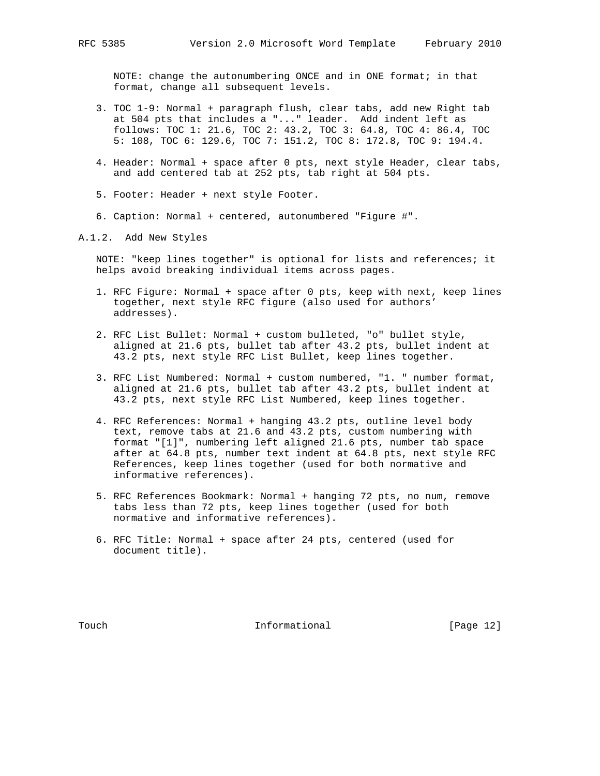NOTE: change the autonumbering ONCE and in ONE format; in that format, change all subsequent levels.

- 3. TOC 1-9: Normal + paragraph flush, clear tabs, add new Right tab at 504 pts that includes a "..." leader. Add indent left as follows: TOC 1: 21.6, TOC 2: 43.2, TOC 3: 64.8, TOC 4: 86.4, TOC 5: 108, TOC 6: 129.6, TOC 7: 151.2, TOC 8: 172.8, TOC 9: 194.4.
- 4. Header: Normal + space after 0 pts, next style Header, clear tabs, and add centered tab at 252 pts, tab right at 504 pts.
- 5. Footer: Header + next style Footer.
- 6. Caption: Normal + centered, autonumbered "Figure #".

A.1.2. Add New Styles

 NOTE: "keep lines together" is optional for lists and references; it helps avoid breaking individual items across pages.

- 1. RFC Figure: Normal + space after 0 pts, keep with next, keep lines together, next style RFC figure (also used for authors' addresses).
- 2. RFC List Bullet: Normal + custom bulleted, "o" bullet style, aligned at 21.6 pts, bullet tab after 43.2 pts, bullet indent at 43.2 pts, next style RFC List Bullet, keep lines together.
- 3. RFC List Numbered: Normal + custom numbered, "1. " number format, aligned at 21.6 pts, bullet tab after 43.2 pts, bullet indent at 43.2 pts, next style RFC List Numbered, keep lines together.
- 4. RFC References: Normal + hanging 43.2 pts, outline level body text, remove tabs at 21.6 and 43.2 pts, custom numbering with format "[1]", numbering left aligned 21.6 pts, number tab space after at 64.8 pts, number text indent at 64.8 pts, next style RFC References, keep lines together (used for both normative and informative references).
- 5. RFC References Bookmark: Normal + hanging 72 pts, no num, remove tabs less than 72 pts, keep lines together (used for both normative and informative references).
- 6. RFC Title: Normal + space after 24 pts, centered (used for document title).

Touch **Informational Informational** [Page 12]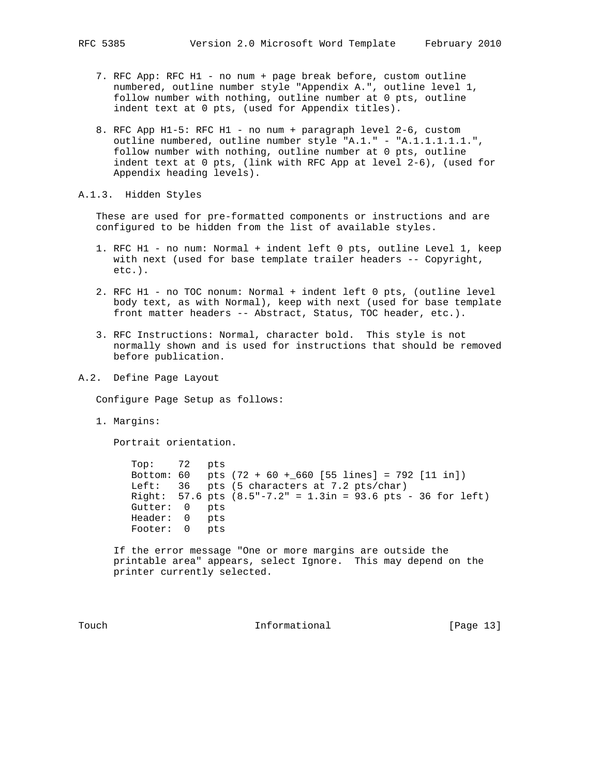- 7. RFC App: RFC H1 no num + page break before, custom outline numbered, outline number style "Appendix A.", outline level 1, follow number with nothing, outline number at 0 pts, outline indent text at 0 pts, (used for Appendix titles).
- 8. RFC App H1-5: RFC H1 no num + paragraph level 2-6, custom outline numbered, outline number style "A.1." - "A.1.1.1.1.1.", follow number with nothing, outline number at 0 pts, outline indent text at 0 pts, (link with RFC App at level 2-6), (used for Appendix heading levels).

A.1.3. Hidden Styles

 These are used for pre-formatted components or instructions and are configured to be hidden from the list of available styles.

- 1. RFC H1 no num: Normal + indent left 0 pts, outline Level 1, keep with next (used for base template trailer headers -- Copyright, etc.).
- 2. RFC H1 no TOC nonum: Normal + indent left 0 pts, (outline level body text, as with Normal), keep with next (used for base template front matter headers -- Abstract, Status, TOC header, etc.).
- 3. RFC Instructions: Normal, character bold. This style is not normally shown and is used for instructions that should be removed before publication.
- A.2. Define Page Layout

Configure Page Setup as follows:

1. Margins:

Portrait orientation.

 Top: 72 pts Bottom: 60 pts (72 + 60 +\_660 [55 lines] = 792 [11 in]) Left: 36 pts (5 characters at 7.2 pts/char) Right: 57.6 pts (8.5"-7.2" = 1.3in = 93.6 pts - 36 for left) Gutter: 0 pts Header: 0 pts Footer: 0 pts

 If the error message "One or more margins are outside the printable area" appears, select Ignore. This may depend on the printer currently selected.

Touch **Informational Informational** [Page 13]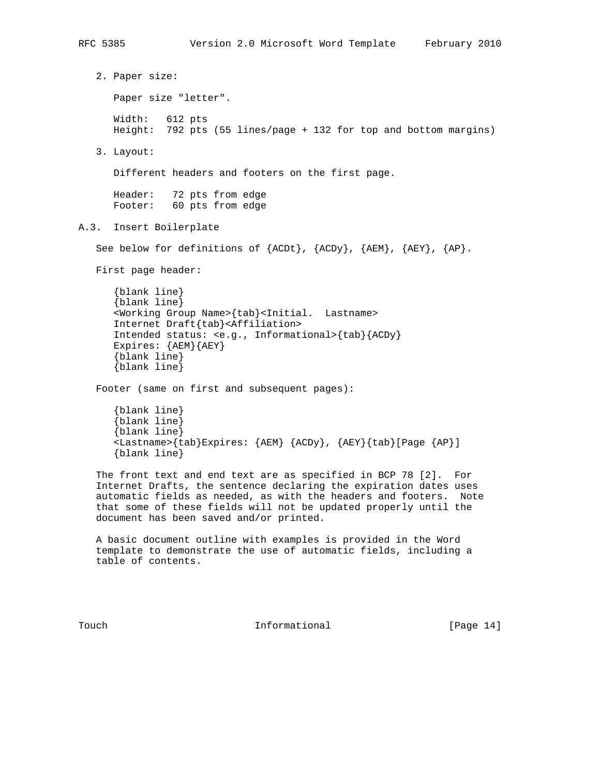2. Paper size: Paper size "letter". Width: 612 pts Height: 792 pts (55 lines/page + 132 for top and bottom margins) 3. Layout: Different headers and footers on the first page. Header: 72 pts from edge Footer: 60 pts from edge A.3. Insert Boilerplate See below for definitions of {ACDt}, {ACDy}, {AEM}, {AEY}, {AP}. First page header: {blank line} {blank line} <Working Group Name>{tab}<Initial. Lastname> Internet Draft{tab}<Affiliation> Intended status: <e.g., Informational>{tab}{ACDy} Expires: {AEM}{AEY} {blank line} {blank line} Footer (same on first and subsequent pages): {blank line} {blank line} {blank line} <Lastname>{tab}Expires: {AEM} {ACDy}, {AEY}{tab}[Page {AP}] {blank line} The front text and end text are as specified in BCP 78 [2]. For Internet Drafts, the sentence declaring the expiration dates uses automatic fields as needed, as with the headers and footers. Note that some of these fields will not be updated properly until the document has been saved and/or printed. A basic document outline with examples is provided in the Word template to demonstrate the use of automatic fields, including a table of contents.

Touch **Informational Informational** [Page 14]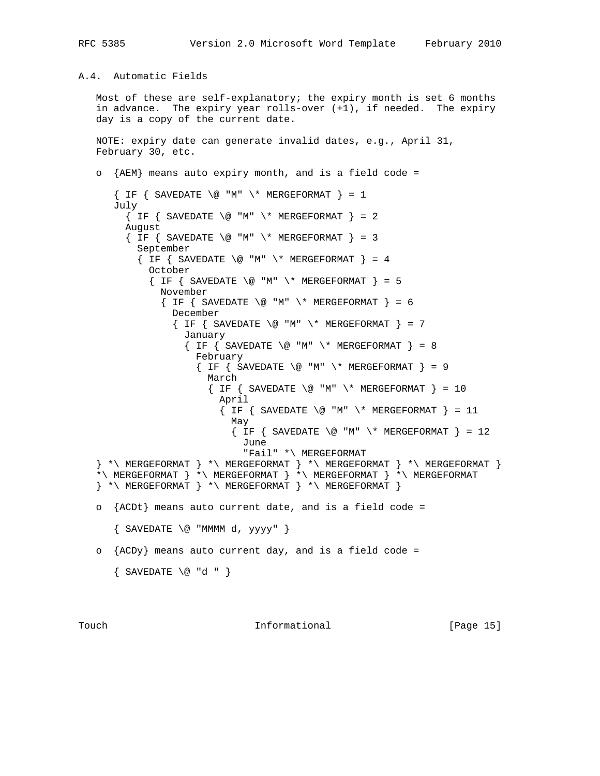# A.4. Automatic Fields

 Most of these are self-explanatory; the expiry month is set 6 months in advance. The expiry year rolls-over (+1), if needed. The expiry day is a copy of the current date.

```
 NOTE: expiry date can generate invalid dates, e.g., April 31,
 February 30, etc.
```

```
 o {AEM} means auto expiry month, and is a field code =
      \{ IF \} SAVEDATE \@V{0} "M" \* MERGEFORMAT \} = 1 July
        \{ IF \} SAVEDATE \@V{0} "M" \* MERGEFORMAT \} = 2
         August
        \{ IF \{ SAVEDATE \ @ \ "M" \ \' * MERGETORMAT \} = 3 September
          \{ IF \{ SAVEDATE \ @ \ "M" \ \ \}\ # MERGEFORMAT \} = 4 October
            \{ IF \} SAVEDATE \@V{0} "M" \* MERGEFORMAT \}= 5 November
              \{ IF \} SAVEDATE \@V{0} "M" \* MERGEFORMAT \}= 6 December
                 \{ IF \{ SAVEDATE \ @ \ "M" \ \ \ \ \ast \ MERCISEFORMAT \ } = 7 January
                   \{ IF \} SAVEDATE \@V{0} "M" \* MERGEFORMAT \}= 8 February
                     \{ IF \} SAVEDATE \@V{0} "M" \* MERGEFORMAT \}= 9 March
                       \{ IF \} SAVEDATE \@V{0} "M" \\\V{*} MERGEFORMAT \}= 10 April
                         \{ IF \} SAVEDATE \@V{0} "M" \* MERGEFORMAT \} = 11May
                            \{ IF \} SAVEDATE \@V{0} "M" \* MERGEFORMAT \} = 12 June
                               "Fail" *\ MERGEFORMAT
   \} *\ MERGEFORMAT } *\ MERGEFORMAT } *\ MERGEFORMAT }*\ MERGEFORMAT } *\ MERGEFORMAT } *\ MERGEFORMAT } *\ MERGEFORMAT
   \} *\ MERGEFORMAT \} *\ MERGEFORMAT \} *\ MERGEFORMAT \} o {ACDt} means auto current date, and is a field code =
      \{ SAVEDATE \emptyset "MMMM d, yyyy" \} o {ACDy} means auto current day, and is a field code =
       { SAVEDATE \@ "d " }
```
Touch **Informational Informational** [Page 15]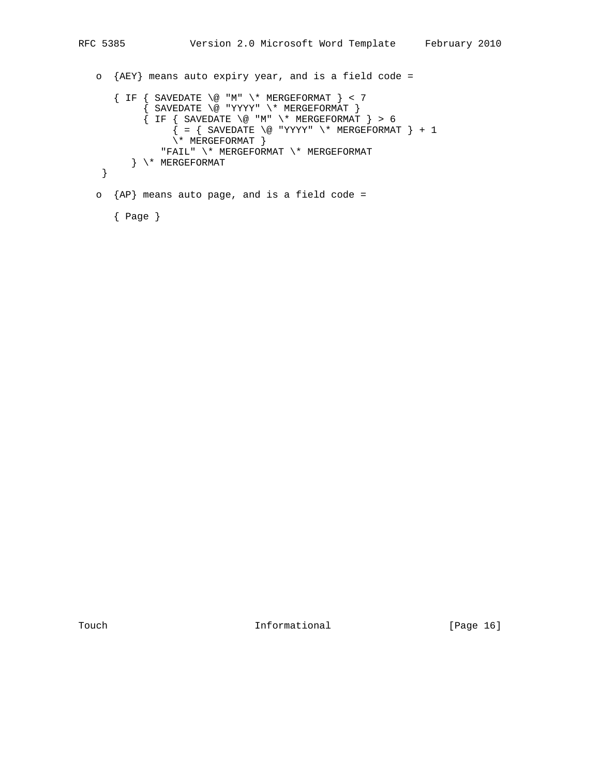```
 o {AEY} means auto expiry year, and is a field code =
     \{ IF \{ SAVEDATE \ @ \ "M" \ \'* MERCEFORMAT \} < 7 { SAVEDATE \@ "YYYY" \* MERGEFORMAT }
 { IF { SAVEDATE \@ "M" \* MERGEFORMAT } > 6
\{ = \{ SAVEDATE \\ @ "YYYY" \setminus^* MERGEFORMAT \} + 1
               \forall * MERGEFORMAT }
               "FAIL" \* MERGEFORMAT \* MERGEFORMAT
         } \* MERGEFORMAT
    }
   o {AP} means auto page, and is a field code =
```
{ Page }

Touch 1nformational [Page 16]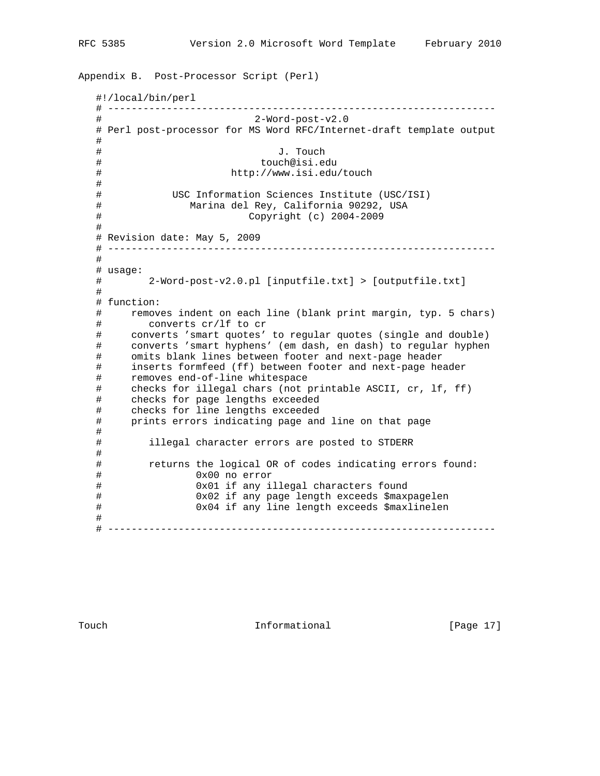```
Appendix B. Post-Processor Script (Perl)
   #!/local/bin/perl
   # ------------------------------------------------------------------
   # 2-Word-post-v2.0
   # Perl post-processor for MS Word RFC/Internet-draft template output
   #
   # J. Touch
   # touch@isi.edu
   # http://www.isi.edu/touch
   #
   # USC Information Sciences Institute (USC/ISI)
   # Marina del Rey, California 90292, USA
   # Copyright (c) 2004-2009
   #
   # Revision date: May 5, 2009
   # ------------------------------------------------------------------
   #
   # usage:
   # 2-Word-post-v2.0.pl [inputfile.txt] > [outputfile.txt]
   #
   # function:
   # removes indent on each line (blank print margin, typ. 5 chars)
   # converts cr/lf to cr
 # converts 'smart quotes' to regular quotes (single and double)
 # converts 'smart hyphens' (em dash, en dash) to regular hyphen
   # omits blank lines between footer and next-page header
   # inserts formfeed (ff) between footer and next-page header
   # removes end-of-line whitespace
   # checks for illegal chars (not printable ASCII, cr, lf, ff)
   # checks for page lengths exceeded
   # checks for line lengths exceeded
   # prints errors indicating page and line on that page
   #
   # illegal character errors are posted to STDERR
   #
   # returns the logical OR of codes indicating errors found:
   # 0x00 no error
   # 0x01 if any illegal characters found
   # 0x02 if any page length exceeds $maxpagelen
   # 0x04 if any line length exceeds $maxlinelen
   #
   # ------------------------------------------------------------------
```
Touch **Informational Informational** [Page 17]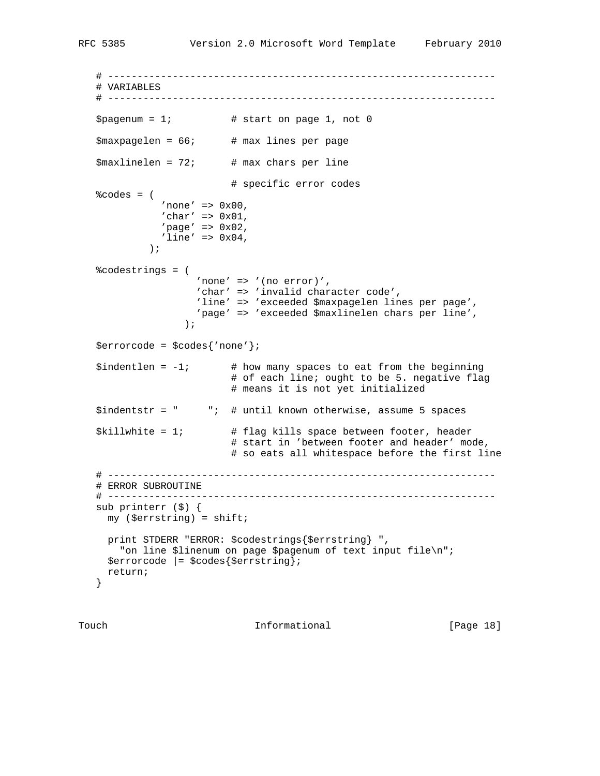```
 # ------------------------------------------------------------------
   # VARIABLES
   # ------------------------------------------------------------------
  $pagenum = 1; # start on page 1, not 0
   $maxpagelen = 66; # max lines per page
  $maxlinear = 72; # max chars per line
                        # specific error codes
  % codes = ('none' => 0x00,
'char' => 0x01,
'page' => 0x02,'line' => 0x04,
            );
   %codestrings = (
                  'none' => '(no error)',
                   'char' => 'invalid character code',
                    'line' => 'exceeded $maxpagelen lines per page',
                  'page' => 'exceeded $maxlinelen chars per line',
 );
   $errorcode = $codes{'none'};
  $indentlen = -1; # how many spaces to eat from the beginning
                         # of each line; ought to be 5. negative flag
                         # means it is not yet initialized
   $indentstr = " "; # until known otherwise, assume 5 spaces
   $killwhite = 1; # flag kills space between footer, header
                         # start in 'between footer and header' mode,
                         # so eats all whitespace before the first line
   # ------------------------------------------------------------------
   # ERROR SUBROUTINE
   # ------------------------------------------------------------------
   sub printerr ($) {
    my ($errstring) = shift;
     print STDERR "ERROR: $codestrings{$errstring} ",
       "on line $linenum on page $pagenum of text input file\n";
     $errorcode |= $codes{$errstring};
     return;
   }
```
Touch **Informational Informational** [Page 18]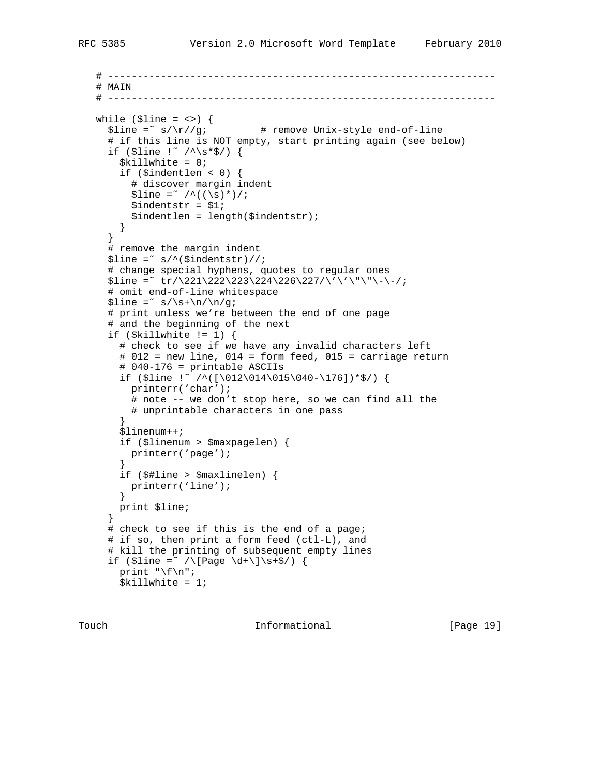```
 # ------------------------------------------------------------------
   # MAIN
   # ------------------------------------------------------------------
 while ($line = <>) {
 $line =˜ s/\r//g; # remove Unix-style end-of-line
      # if this line is NOT empty, start printing again (see below)
     if ($line !~ /\^{\star}$*$/) {
        $killwhite = 0;
       if ($indentlen < 0) {
         # discover margin indent
        $line =^{\sim}/^{\wedge}((\s) *)/;$indexstr = $1; $indentlen = length($indentstr);
       }
      }
      # remove the margin indent
     $line = ^s s/^*($index)//;
      # change special hyphens, quotes to regular ones
     $line =^* tr/\221\222\23\24\226\27/\'\'\'\''\''\'-\'/; # omit end-of-line whitespace
     $line =^* s/\s+\n/\nu/g; # print unless we're between the end of one page
      # and the beginning of the next
     if (\$killwhite != 1) {
        # check to see if we have any invalid characters left
        # 012 = new line, 014 = form feed, 015 = carriage return
       # 040-176 = printable ASCIIs
       if ($line !~ /^([\012\014\015\040-\176])*$/) {
         printerr('char');
         # note -- we don't stop here, so we can find all the
         # unprintable characters in one pass
        }
        $linenum++;
        if ($linenum > $maxpagelen) {
         printerr('page');
 }
        if ($#line > $maxlinelen) {
         printerr('line');
        }
       print $line;
 }
     # check to see if this is the end of a page;
      # if so, then print a form feed (ctl-L), and
      # kill the printing of subsequent empty lines
     if ($line = \sqrt{\[{\text{Page }\dd+}\] \s+5}) {
      print "\f\n";
      $killwhite = 1;
```
Touch **Informational Informational** [Page 19]